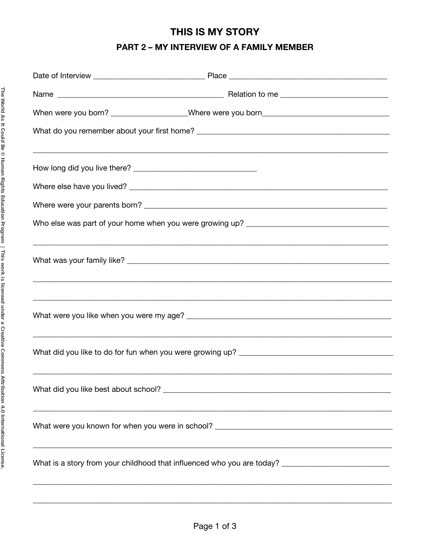# THIS IS MY STORY

### PART 2 - MY INTERVIEW OF A FAMILY MEMBER

| When were you born? ___________________Where were you born_______________________                                    |
|----------------------------------------------------------------------------------------------------------------------|
|                                                                                                                      |
|                                                                                                                      |
|                                                                                                                      |
|                                                                                                                      |
|                                                                                                                      |
|                                                                                                                      |
|                                                                                                                      |
|                                                                                                                      |
|                                                                                                                      |
|                                                                                                                      |
|                                                                                                                      |
|                                                                                                                      |
|                                                                                                                      |
|                                                                                                                      |
|                                                                                                                      |
|                                                                                                                      |
| <u> 1990 - Jan James James James James James James James James James James James James James James James James J</u> |
| What is a story from your childhood that influenced who you are today? ____________________________                  |
|                                                                                                                      |
|                                                                                                                      |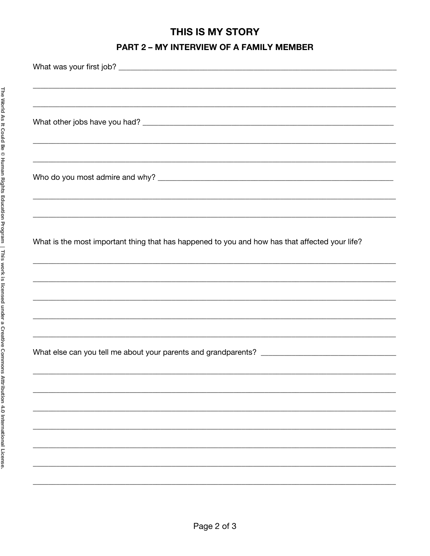# THIS IS MY STORY

### PART 2 - MY INTERVIEW OF A FAMILY MEMBER

| ,我们也不能在这里的,我们也不能在这里的,我们也不能不能不能不能不能不能不能不能不能不能不能不能不能不能不能。""我们的是我们的,我们也不能不能不能不能不能不能               |
|------------------------------------------------------------------------------------------------|
|                                                                                                |
|                                                                                                |
|                                                                                                |
|                                                                                                |
|                                                                                                |
|                                                                                                |
| What is the most important thing that has happened to you and how has that affected your life? |
|                                                                                                |
|                                                                                                |
|                                                                                                |
|                                                                                                |
|                                                                                                |
|                                                                                                |
|                                                                                                |
|                                                                                                |
|                                                                                                |
|                                                                                                |
|                                                                                                |
|                                                                                                |